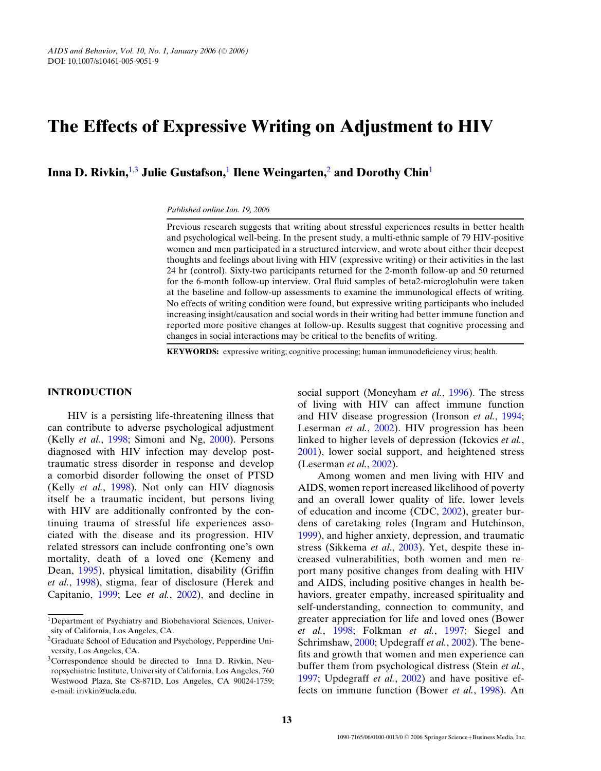# **The Effects of Expressive Writing on Adjustment to HIV**

**Inna D. Rivkin,**1,3 **Julie Gustafson,**<sup>1</sup> **Ilene Weingarten,**<sup>2</sup> **and Dorothy Chin**<sup>1</sup>

#### *Published online Jan. 19, 2006*

Previous research suggests that writing about stressful experiences results in better health and psychological well-being. In the present study, a multi-ethnic sample of 79 HIV-positive women and men participated in a structured interview, and wrote about either their deepest thoughts and feelings about living with HIV (expressive writing) or their activities in the last 24 hr (control). Sixty-two participants returned for the 2-month follow-up and 50 returned for the 6-month follow-up interview. Oral fluid samples of beta2-microglobulin were taken at the baseline and follow-up assessments to examine the immunological effects of writing. No effects of writing condition were found, but expressive writing participants who included increasing insight/causation and social words in their writing had better immune function and reported more positive changes at follow-up. Results suggest that cognitive processing and changes in social interactions may be critical to the benefits of writing.

**KEYWORDS:** expressive writing; cognitive processing; human immunodeficiency virus; health.

## **INTRODUCTION**

HIV is a persisting life-threatening illness that can contribute to adverse psychological adjustment (Kelly *et al.*, [1998;](#page-12-0) Simoni and Ng, [2000\)](#page-13-0). Persons diagnosed with HIV infection may develop posttraumatic stress disorder in response and develop a comorbid disorder following the onset of PTSD (Kelly *et al.*, [1998\)](#page-12-0). Not only can HIV diagnosis itself be a traumatic incident, but persons living with HIV are additionally confronted by the continuing trauma of stressful life experiences associated with the disease and its progression. HIV related stressors can include confronting one's own mortality, death of a loved one (Kemeny and Dean, [1995\)](#page-12-1), physical limitation, disability (Griffin *et al.*, [1998\)](#page-12-2), stigma, fear of disclosure (Herek and Capitanio, [1999;](#page-12-3) Lee *et al.*, [2002\)](#page-12-4), and decline in

social support (Moneyham *et al.*, [1996\)](#page-12-5). The stress of living with HIV can affect immune function and HIV disease progression (Ironson *et al.*, [1994;](#page-12-6) Leserman *et al.*, [2002\)](#page-12-7). HIV progression has been linked to higher levels of depression (Ickovics *et al.*, [2001\)](#page-12-8), lower social support, and heightened stress (Leserman *et al.*, [2002\)](#page-12-7).

Among women and men living with HIV and AIDS, women report increased likelihood of poverty and an overall lower quality of life, lower levels of education and income (CDC, [2002\)](#page-12-9), greater burdens of caretaking roles (Ingram and Hutchinson, [1999\)](#page-12-10), and higher anxiety, depression, and traumatic stress (Sikkema *et al.*, [2003\)](#page-13-1). Yet, despite these increased vulnerabilities, both women and men report many positive changes from dealing with HIV and AIDS, including positive changes in health behaviors, greater empathy, increased spirituality and self-understanding, connection to community, and greater appreciation for life and loved ones (Bower *et al.*, [1998;](#page-12-11) Folkman *et al.*, [1997;](#page-12-12) Siegel and Schrimshaw, [2000;](#page-13-2) Updegraff *et al.*, [2002\)](#page-13-3). The benefits and growth that women and men experience can buffer them from psychological distress (Stein *et al.*, [1997;](#page-13-4) Updegraff *et al.*, [2002\)](#page-13-3) and have positive effects on immune function (Bower *et al.*, [1998\)](#page-12-11). An

<sup>&</sup>lt;sup>1</sup>Department of Psychiatry and Biobehavioral Sciences, University of California, Los Angeles, CA.

<sup>2</sup>Graduate School of Education and Psychology, Pepperdine University, Los Angeles, CA.

<sup>&</sup>lt;sup>3</sup>Correspondence should be directed to Inna D. Rivkin, Neuropsychiatric Institute, University of California, Los Angeles, 760 Westwood Plaza, Ste C8-871D, Los Angeles, CA 90024-1759; e-mail: irivkin@ucla.edu.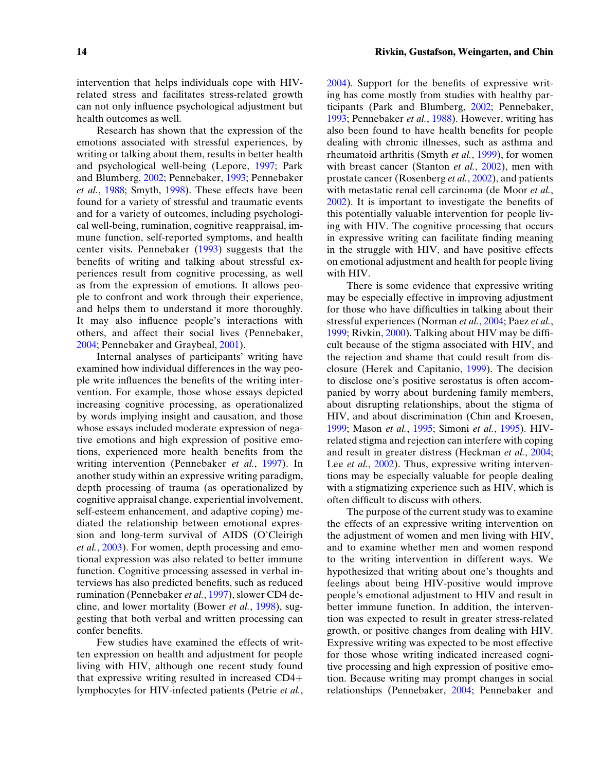intervention that helps individuals cope with HIVrelated stress and facilitates stress-related growth can not only influence psychological adjustment but health outcomes as well.

Research has shown that the expression of the emotions associated with stressful experiences, by writing or talking about them, results in better health and psychological well-being (Lepore, [1997;](#page-12-13) Park and Blumberg, [2002;](#page-13-5) Pennebaker, [1993;](#page-13-6) Pennebaker *et al.*, [1988;](#page-13-7) Smyth, [1998\)](#page-13-8). These effects have been found for a variety of stressful and traumatic events and for a variety of outcomes, including psychological well-being, rumination, cognitive reappraisal, immune function, self-reported symptoms, and health center visits. Pennebaker [\(1993\)](#page-13-6) suggests that the benefits of writing and talking about stressful experiences result from cognitive processing, as well as from the expression of emotions. It allows people to confront and work through their experience, and helps them to understand it more thoroughly. It may also influence people's interactions with others, and affect their social lives (Pennebaker, [2004;](#page-13-9) Pennebaker and Graybeal, [2001\)](#page-13-10).

Internal analyses of participants' writing have examined how individual differences in the way people write influences the benefits of the writing intervention. For example, those whose essays depicted increasing cognitive processing, as operationalized by words implying insight and causation, and those whose essays included moderate expression of negative emotions and high expression of positive emotions, experienced more health benefits from the writing intervention (Pennebaker *et al.*, [1997\)](#page-13-11). In another study within an expressive writing paradigm, depth processing of trauma (as operationalized by cognitive appraisal change, experiential involvement, self-esteem enhancement, and adaptive coping) mediated the relationship between emotional expression and long-term survival of AIDS (O'Cleirigh *et al.*, [2003\)](#page-13-12). For women, depth processing and emotional expression was also related to better immune function. Cognitive processing assessed in verbal interviews has also predicted benefits, such as reduced rumination (Pennebaker *et al.*, [1997\)](#page-13-11), slower CD4 decline, and lower mortality (Bower *et al.*, [1998\)](#page-12-11), suggesting that both verbal and written processing can confer benefits.

Few studies have examined the effects of written expression on health and adjustment for people living with HIV, although one recent study found that expressive writing resulted in increased CD4+ lymphocytes for HIV-infected patients (Petrie *et al.*, [2004\)](#page-13-13). Support for the benefits of expressive writing has come mostly from studies with healthy participants (Park and Blumberg, [2002;](#page-13-5) Pennebaker, [1993;](#page-13-6) Pennebaker *et al.*, [1988\)](#page-13-7). However, writing has also been found to have health benefits for people dealing with chronic illnesses, such as asthma and rheumatoid arthritis (Smyth *et al.*, [1999\)](#page-13-14), for women with breast cancer (Stanton *et al.*, [2002\)](#page-13-15), men with prostate cancer (Rosenberg *et al.*, [2002\)](#page-13-16), and patients with metastatic renal cell carcinoma (de Moor *et al.*, [2002\)](#page-12-14). It is important to investigate the benefits of this potentially valuable intervention for people living with HIV. The cognitive processing that occurs in expressive writing can facilitate finding meaning in the struggle with HIV, and have positive effects on emotional adjustment and health for people living with HIV.

There is some evidence that expressive writing may be especially effective in improving adjustment for those who have difficulties in talking about their stressful experiences (Norman *et al.*, [2004;](#page-12-15) Paez *et al.*, [1999;](#page-13-17) Rivkin, [2000\)](#page-13-18). Talking about HIV may be difficult because of the stigma associated with HIV, and the rejection and shame that could result from disclosure (Herek and Capitanio, [1999\)](#page-12-3). The decision to disclose one's positive serostatus is often accompanied by worry about burdening family members, about disrupting relationships, about the stigma of HIV, and about discrimination (Chin and Kroesen, [1999;](#page-12-16) Mason *et al.*, [1995;](#page-12-17) Simoni *et al.*, [1995\)](#page-13-19). HIVrelated stigma and rejection can interfere with coping and result in greater distress (Heckman *et al.*, [2004;](#page-12-18) Lee *et al.*, [2002\)](#page-12-4). Thus, expressive writing interventions may be especially valuable for people dealing with a stigmatizing experience such as HIV, which is often difficult to discuss with others.

The purpose of the current study was to examine the effects of an expressive writing intervention on the adjustment of women and men living with HIV, and to examine whether men and women respond to the writing intervention in different ways. We hypothesized that writing about one's thoughts and feelings about being HIV-positive would improve people's emotional adjustment to HIV and result in better immune function. In addition, the intervention was expected to result in greater stress-related growth, or positive changes from dealing with HIV. Expressive writing was expected to be most effective for those whose writing indicated increased cognitive processing and high expression of positive emotion. Because writing may prompt changes in social relationships (Pennebaker, [2004;](#page-13-9) Pennebaker and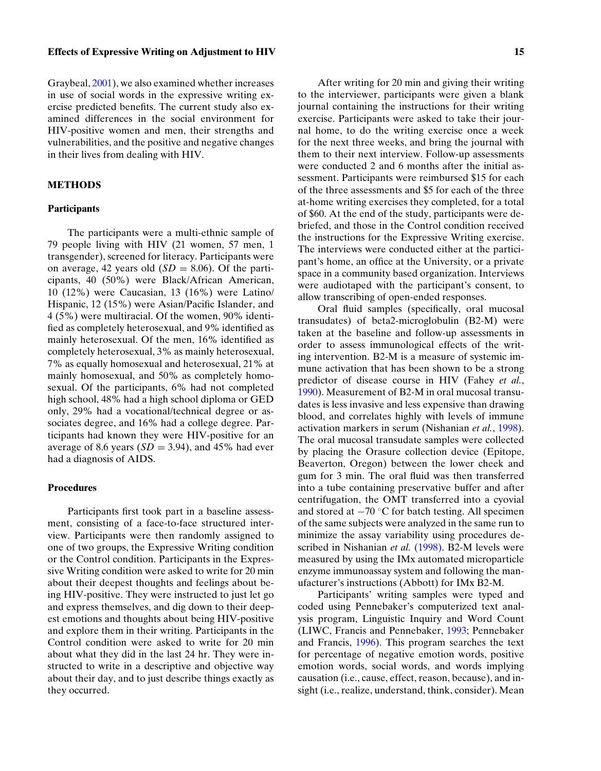#### **Effects of Expressive Writing on Adjustment to HIV 15**

Graybeal, [2001\)](#page-13-10), we also examined whether increases in use of social words in the expressive writing exercise predicted benefits. The current study also examined differences in the social environment for HIV-positive women and men, their strengths and vulnerabilities, and the positive and negative changes in their lives from dealing with HIV.

## **METHODS**

## **Participants**

The participants were a multi-ethnic sample of 79 people living with HIV (21 women, 57 men, 1 transgender), screened for literacy. Participants were on average, 42 years old  $(SD = 8.06)$ . Of the participants, 40 (50%) were Black/African American, 10 (12%) were Caucasian, 13 (16%) were Latino/ Hispanic, 12 (15%) were Asian/Pacific Islander, and 4 (5%) were multiracial. Of the women, 90% identified as completely heterosexual, and 9% identified as mainly heterosexual. Of the men, 16% identified as completely heterosexual, 3% as mainly heterosexual, 7% as equally homosexual and heterosexual, 21% at mainly homosexual, and 50% as completely homosexual. Of the participants, 6% had not completed high school, 48% had a high school diploma or GED only, 29% had a vocational/technical degree or associates degree, and 16% had a college degree. Participants had known they were HIV-positive for an average of 8.6 years  $(SD = 3.94)$ , and 45% had ever had a diagnosis of AIDS.

## **Procedures**

Participants first took part in a baseline assessment, consisting of a face-to-face structured interview. Participants were then randomly assigned to one of two groups, the Expressive Writing condition or the Control condition. Participants in the Expressive Writing condition were asked to write for 20 min about their deepest thoughts and feelings about being HIV-positive. They were instructed to just let go and express themselves, and dig down to their deepest emotions and thoughts about being HIV-positive and explore them in their writing. Participants in the Control condition were asked to write for 20 min about what they did in the last 24 hr. They were instructed to write in a descriptive and objective way about their day, and to just describe things exactly as they occurred.

After writing for 20 min and giving their writing to the interviewer, participants were given a blank journal containing the instructions for their writing exercise. Participants were asked to take their journal home, to do the writing exercise once a week for the next three weeks, and bring the journal with them to their next interview. Follow-up assessments were conducted 2 and 6 months after the initial assessment. Participants were reimbursed \$15 for each of the three assessments and \$5 for each of the three at-home writing exercises they completed, for a total of \$60. At the end of the study, participants were debriefed, and those in the Control condition received the instructions for the Expressive Writing exercise. The interviews were conducted either at the participant's home, an office at the University, or a private space in a community based organization. Interviews were audiotaped with the participant's consent, to allow transcribing of open-ended responses.

Oral fluid samples (specifically, oral mucosal transudates) of beta2-microglobulin (B2-M) were taken at the baseline and follow-up assessments in order to assess immunological effects of the writing intervention. B2-M is a measure of systemic immune activation that has been shown to be a strong predictor of disease course in HIV (Fahey *et al.*, [1990\)](#page-12-19). Measurement of B2-M in oral mucosal transudates is less invasive and less expensive than drawing blood, and correlates highly with levels of immune activation markers in serum (Nishanian *et al.*, [1998\)](#page-12-20). The oral mucosal transudate samples were collected by placing the Orasure collection device (Epitope, Beaverton, Oregon) between the lower cheek and gum for 3 min. The oral fluid was then transferred into a tube containing preservative buffer and after centrifugation, the OMT transferred into a cyovial and stored at  $-70$  °C for batch testing. All specimen of the same subjects were analyzed in the same run to minimize the assay variability using procedures described in Nishanian *et al.* [\(1998\).](#page-12-20) B2-M levels were measured by using the IMx automated microparticle enzyme immunoassay system and following the manufacturer's instructions (Abbott) for IMx B2-M.

Participants' writing samples were typed and coded using Pennebaker's computerized text analysis program, Linguistic Inquiry and Word Count (LIWC, Francis and Pennebaker, [1993;](#page-12-21) Pennebaker and Francis, [1996\)](#page-13-20). This program searches the text for percentage of negative emotion words, positive emotion words, social words, and words implying causation (i.e., cause, effect, reason, because), and insight (i.e., realize, understand, think, consider). Mean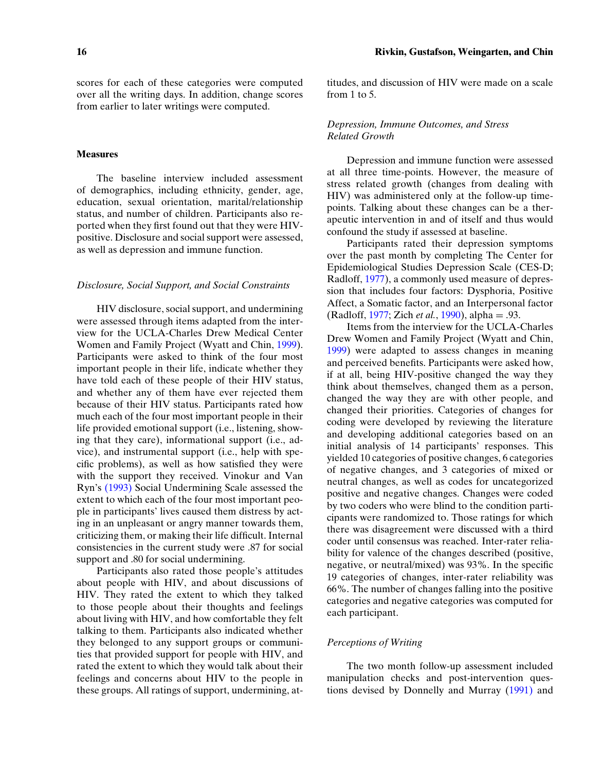scores for each of these categories were computed over all the writing days. In addition, change scores from earlier to later writings were computed.

### **Measures**

The baseline interview included assessment of demographics, including ethnicity, gender, age, education, sexual orientation, marital/relationship status, and number of children. Participants also reported when they first found out that they were HIVpositive. Disclosure and social support were assessed, as well as depression and immune function.

#### *Disclosure, Social Support, and Social Constraints*

HIV disclosure, social support, and undermining were assessed through items adapted from the interview for the UCLA-Charles Drew Medical Center Women and Family Project (Wyatt and Chin, [1999\)](#page-13-21). Participants were asked to think of the four most important people in their life, indicate whether they have told each of these people of their HIV status, and whether any of them have ever rejected them because of their HIV status. Participants rated how much each of the four most important people in their life provided emotional support (i.e., listening, showing that they care), informational support (i.e., advice), and instrumental support (i.e., help with specific problems), as well as how satisfied they were with the support they received. Vinokur and Van Ryn's [\(1993\)](#page-13-22) Social Undermining Scale assessed the extent to which each of the four most important people in participants' lives caused them distress by acting in an unpleasant or angry manner towards them, criticizing them, or making their life difficult. Internal consistencies in the current study were .87 for social support and .80 for social undermining.

Participants also rated those people's attitudes about people with HIV, and about discussions of HIV. They rated the extent to which they talked to those people about their thoughts and feelings about living with HIV, and how comfortable they felt talking to them. Participants also indicated whether they belonged to any support groups or communities that provided support for people with HIV, and rated the extent to which they would talk about their feelings and concerns about HIV to the people in these groups. All ratings of support, undermining, attitudes, and discussion of HIV were made on a scale from 1 to 5.

## *Depression, Immune Outcomes, and Stress Related Growth*

Depression and immune function were assessed at all three time-points. However, the measure of stress related growth (changes from dealing with HIV) was administered only at the follow-up timepoints. Talking about these changes can be a therapeutic intervention in and of itself and thus would confound the study if assessed at baseline.

Participants rated their depression symptoms over the past month by completing The Center for Epidemiological Studies Depression Scale (CES-D; Radloff, [1977\)](#page-13-23), a commonly used measure of depression that includes four factors: Dysphoria, Positive Affect, a Somatic factor, and an Interpersonal factor (Radloff, [1977;](#page-13-23) Zich *et al.*, [1990\)](#page-13-24), alpha = .93.

Items from the interview for the UCLA-Charles Drew Women and Family Project (Wyatt and Chin, [1999\)](#page-13-21) were adapted to assess changes in meaning and perceived benefits. Participants were asked how, if at all, being HIV-positive changed the way they think about themselves, changed them as a person, changed the way they are with other people, and changed their priorities. Categories of changes for coding were developed by reviewing the literature and developing additional categories based on an initial analysis of 14 participants' responses. This yielded 10 categories of positive changes, 6 categories of negative changes, and 3 categories of mixed or neutral changes, as well as codes for uncategorized positive and negative changes. Changes were coded by two coders who were blind to the condition participants were randomized to. Those ratings for which there was disagreement were discussed with a third coder until consensus was reached. Inter-rater reliability for valence of the changes described (positive, negative, or neutral/mixed) was 93%. In the specific 19 categories of changes, inter-rater reliability was 66%. The number of changes falling into the positive categories and negative categories was computed for each participant.

## *Perceptions of Writing*

The two month follow-up assessment included manipulation checks and post-intervention questions devised by Donnelly and Murray [\(1991\)](#page-12-22) and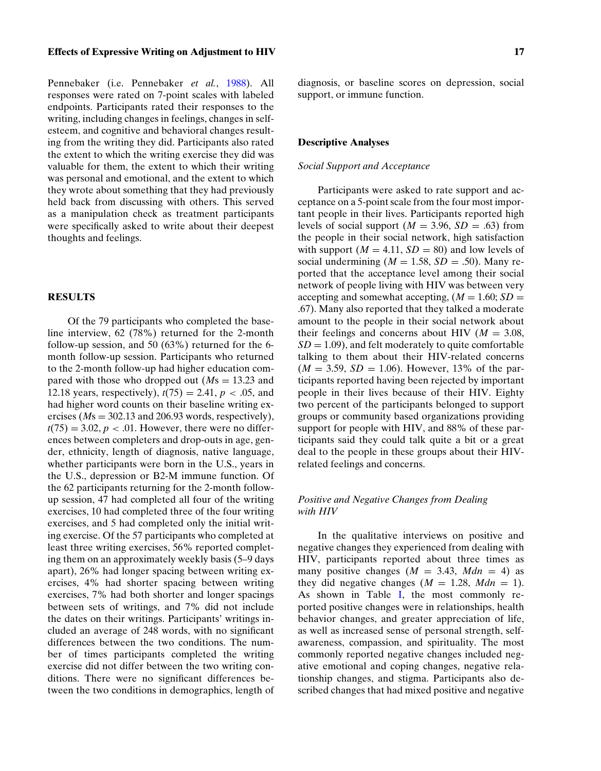Pennebaker (i.e. Pennebaker *et al.*, [1988\)](#page-13-7). All responses were rated on 7-point scales with labeled endpoints. Participants rated their responses to the writing, including changes in feelings, changes in selfesteem, and cognitive and behavioral changes resulting from the writing they did. Participants also rated the extent to which the writing exercise they did was valuable for them, the extent to which their writing was personal and emotional, and the extent to which they wrote about something that they had previously held back from discussing with others. This served as a manipulation check as treatment participants were specifically asked to write about their deepest thoughts and feelings.

## **RESULTS**

Of the 79 participants who completed the baseline interview, 62 (78%) returned for the 2-month follow-up session, and 50 (63%) returned for the 6 month follow-up session. Participants who returned to the 2-month follow-up had higher education compared with those who dropped out (*M*s = 13.23 and 12.18 years, respectively),  $t(75) = 2.41$ ,  $p < .05$ , and had higher word counts on their baseline writing exercises ( $Ms = 302.13$  and 206.93 words, respectively),  $t(75) = 3.02$ ,  $p < .01$ . However, there were no differences between completers and drop-outs in age, gender, ethnicity, length of diagnosis, native language, whether participants were born in the U.S., years in the U.S., depression or B2-M immune function. Of the 62 participants returning for the 2-month followup session, 47 had completed all four of the writing exercises, 10 had completed three of the four writing exercises, and 5 had completed only the initial writing exercise. Of the 57 participants who completed at least three writing exercises, 56% reported completing them on an approximately weekly basis (5–9 days apart), 26% had longer spacing between writing exercises, 4% had shorter spacing between writing exercises, 7% had both shorter and longer spacings between sets of writings, and 7% did not include the dates on their writings. Participants' writings included an average of 248 words, with no significant differences between the two conditions. The number of times participants completed the writing exercise did not differ between the two writing conditions. There were no significant differences between the two conditions in demographics, length of

diagnosis, or baseline scores on depression, social support, or immune function.

## **Descriptive Analyses**

## *Social Support and Acceptance*

Participants were asked to rate support and acceptance on a 5-point scale from the four most important people in their lives. Participants reported high levels of social support ( $M = 3.96$ ,  $SD = .63$ ) from the people in their social network, high satisfaction with support  $(M = 4.11, SD = 80)$  and low levels of social undermining  $(M = 1.58, SD = .50)$ . Many reported that the acceptance level among their social network of people living with HIV was between very accepting and somewhat accepting,  $(M = 1.60; SD =$ .67). Many also reported that they talked a moderate amount to the people in their social network about their feelings and concerns about HIV ( $M = 3.08$ ,  $SD = 1.09$ , and felt moderately to quite comfortable talking to them about their HIV-related concerns  $(M = 3.59, SD = 1.06)$ . However, 13% of the participants reported having been rejected by important people in their lives because of their HIV. Eighty two percent of the participants belonged to support groups or community based organizations providing support for people with HIV, and 88% of these participants said they could talk quite a bit or a great deal to the people in these groups about their HIVrelated feelings and concerns.

## *Positive and Negative Changes from Dealing with HIV*

In the qualitative interviews on positive and negative changes they experienced from dealing with HIV, participants reported about three times as many positive changes  $(M = 3.43, Mdn = 4)$  as they did negative changes  $(M = 1.28, Mdn = 1)$ . As shown in Table [I,](#page-5-0) the most commonly reported positive changes were in relationships, health behavior changes, and greater appreciation of life, as well as increased sense of personal strength, selfawareness, compassion, and spirituality. The most commonly reported negative changes included negative emotional and coping changes, negative relationship changes, and stigma. Participants also described changes that had mixed positive and negative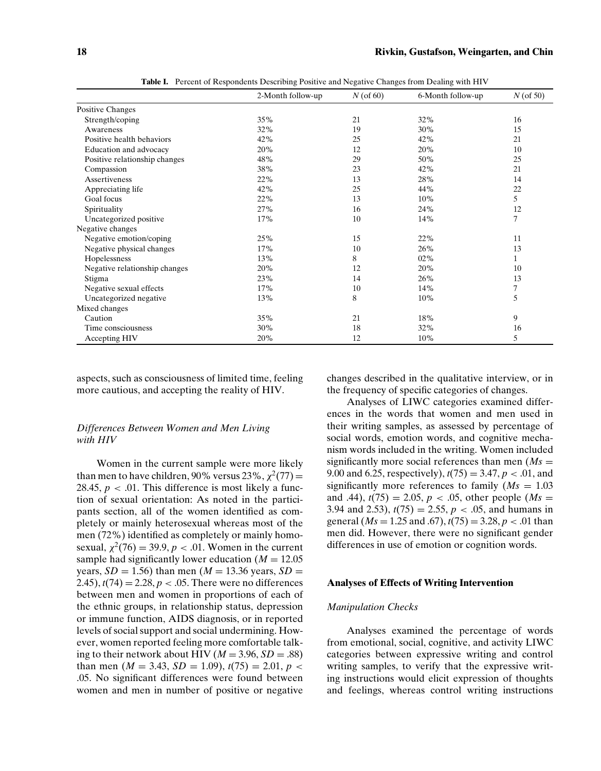<span id="page-5-0"></span>

|                               | 2-Month follow-up | $N$ (of 60) | 6-Month follow-up | $N$ (of 50) |  |
|-------------------------------|-------------------|-------------|-------------------|-------------|--|
| Positive Changes              |                   |             |                   |             |  |
| Strength/coping               | 35%               | 21          | 32%               | 16          |  |
| Awareness                     | 32%               | 19          | 30%               | 15          |  |
| Positive health behaviors     | 42%               | 25          | 42%               | 21          |  |
| Education and advocacy        | 20%               | 12          | 20%               | 10          |  |
| Positive relationship changes | 48%               | 29          | 50%               | 25          |  |
| Compassion                    | 38%               | 23          | 42%               | 21          |  |
| Assertiveness                 | 22%               | 13          | 28%               | 14          |  |
| Appreciating life             | 42%               | 25          | 44%               | 22          |  |
| Goal focus                    | 22%               | 13          | 10%               | 5           |  |
| Spirituality                  | 27%               | 16          | 24%               | 12          |  |
| Uncategorized positive        | 17%               | 10          | 14%               | 7           |  |
| Negative changes              |                   |             |                   |             |  |
| Negative emotion/coping       | 25%               | 15          | 22%               | 11          |  |
| Negative physical changes     | 17%               | 10          | 26%               | 13          |  |
| Hopelessness                  | 13%               | 8           | 02%               | 1           |  |
| Negative relationship changes | 20%               | 12          | 20%               | 10          |  |
| Stigma                        | 23%               | 14          | 26%               | 13          |  |
| Negative sexual effects       | 17%               | 10          | 14%               | 7           |  |
| Uncategorized negative        | 13%               | 8           | 10%               | 5           |  |
| Mixed changes                 |                   |             |                   |             |  |
| Caution                       | 35%               | 21          | 18%               | 9           |  |
| Time consciousness            | 30%               | 18          | 32%               | 16          |  |
| Accepting HIV                 | 20%               | 12          | 10%               | 5           |  |

**Table I.** Percent of Respondents Describing Positive and Negative Changes from Dealing with HIV

aspects, such as consciousness of limited time, feeling more cautious, and accepting the reality of HIV.

## *Differences Between Women and Men Living with HIV*

Women in the current sample were more likely than men to have children, 90% versus 23%,  $\chi^2(77)$  = 28.45,  $p < 0.01$ . This difference is most likely a function of sexual orientation: As noted in the participants section, all of the women identified as completely or mainly heterosexual whereas most of the men (72%) identified as completely or mainly homosexual,  $\chi^2(76) = 39.9$ ,  $p < .01$ . Women in the current sample had significantly lower education  $(M = 12.05)$ years,  $SD = 1.56$ ) than men ( $M = 13.36$  years,  $SD =$ 2.45),  $t(74) = 2.28$ ,  $p < .05$ . There were no differences between men and women in proportions of each of the ethnic groups, in relationship status, depression or immune function, AIDS diagnosis, or in reported levels of social support and social undermining. However, women reported feeling more comfortable talking to their network about HIV ( $M = 3.96$ ,  $SD = .88$ ) than men ( $M = 3.43$ ,  $SD = 1.09$ ),  $t(75) = 2.01$ ,  $p <$ .05. No significant differences were found between women and men in number of positive or negative

changes described in the qualitative interview, or in the frequency of specific categories of changes.

Analyses of LIWC categories examined differences in the words that women and men used in their writing samples, as assessed by percentage of social words, emotion words, and cognitive mechanism words included in the writing. Women included significantly more social references than men  $(Ms =$ 9.00 and 6.25, respectively),  $t(75) = 3.47$ ,  $p < .01$ , and significantly more references to family  $(Ms = 1.03)$ and .44),  $t(75) = 2.05$ ,  $p < .05$ , other people (*Ms* = 3.94 and 2.53),  $t(75) = 2.55$ ,  $p < .05$ , and humans in general ( $Ms = 1.25$  and .67),  $t(75) = 3.28$ ,  $p < .01$  than men did. However, there were no significant gender differences in use of emotion or cognition words.

#### **Analyses of Effects of Writing Intervention**

## *Manipulation Checks*

Analyses examined the percentage of words from emotional, social, cognitive, and activity LIWC categories between expressive writing and control writing samples, to verify that the expressive writing instructions would elicit expression of thoughts and feelings, whereas control writing instructions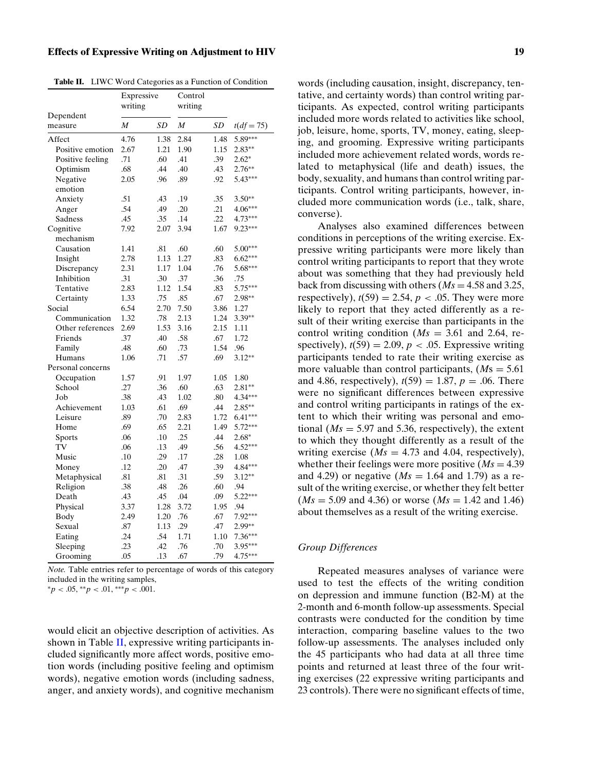## **Effects of Expressive Writing on Adjustment to HIV 19**

**Table II.** LIWC Word Categories as a Function of Condition

|                      | Expressive<br>writing |           | Control<br>writing |      |              |  |
|----------------------|-----------------------|-----------|--------------------|------|--------------|--|
| Dependent<br>measure | M                     | <b>SD</b> | M                  | SD   | $t(df = 75)$ |  |
| Affect               | 4.76                  | 1.38      | 2.84               | 1.48 | 5.89***      |  |
| Positive emotion     | 2.67                  | 1.21      | 1.90               | 1.15 | $2.83**$     |  |
| Positive feeling     | .71                   | .60       | .41                | .39  | $2.62*$      |  |
| Optimism             | .68                   | .44       | .40                | .43  | $2.76***$    |  |
| Negative             | 2.05                  | .96       | .89                | .92  | $5.43***$    |  |
| emotion              |                       |           |                    |      |              |  |
| Anxiety              | .51                   | .43       | .19                | .35  | $3.50**$     |  |
| Anger                | .54                   | .49       | .20                | .21  | $4.06***$    |  |
| Sadness              | .45                   | .35       | .14                | .22  | 4.73***      |  |
| Cognitive            | 7.92                  | 2.07      | 3.94               | 1.67 | $9.23***$    |  |
| mechanism            |                       |           |                    |      |              |  |
| Causation            | 1.41                  | .81       | .60                | .60  | $5.00***$    |  |
| Insight              | 2.78                  | 1.13      | 1.27               | .83  | $6.62***$    |  |
| Discrepancy          | 2.31                  | 1.17      | 1.04               | .76  | $5.68***$    |  |
| Inhibition           | .31                   | .30       | .37                | .36  | .75          |  |
| Tentative            | 2.83                  | 1.12      | 1.54               | .83  | 5.75***      |  |
| Certainty            | 1.33                  | .75       | .85                | .67  | $2.98**$     |  |
| Social               | 6.54                  | 2.70      | 7.50               | 3.86 | 1.27         |  |
| Communication        | 1.32                  | .78       | 2.13               | 1.24 | $3.39**$     |  |
| Other references     | 2.69                  | 1.53      | 3.16               | 2.15 | 1.11         |  |
| Friends              | .37                   | .40       | .58                | .67  | 1.72         |  |
| Family               | .48                   | .60       | .73                | 1.54 | .96          |  |
| Humans               | 1.06                  | .71       | .57                | .69  | $3.12**$     |  |
| Personal concerns    |                       |           |                    |      |              |  |
| Occupation           | 1.57                  | .91       | 1.97               | 1.05 | 1.80         |  |
| School               | .27                   | .36       | .60                | .63  | $2.81**$     |  |
| Job                  | .38                   | .43       | 1.02               | .80  | $4.34***$    |  |
| Achievement          | 1.03                  | .61       | .69                | .44  | $2.85**$     |  |
| Leisure              | .89                   | .70       | 2.83               | 1.72 | $6.41***$    |  |
| Home                 | .69                   | .65       | 2.21               | 1.49 | $5.72***$    |  |
| <b>Sports</b>        | .06                   | .10       | .25                | .44  | $2.68*$      |  |
| TV                   | .06                   | .13       | .49                | .56  | $4.52***$    |  |
| Music                | .10                   | .29       | .17                | .28  | 1.08         |  |
| Money                | .12                   | .20       | .47                | .39  | $4.84***$    |  |
| Metaphysical         | .81                   | .81       | .31                | .59  | $3.12**$     |  |
| Religion             | .38                   | .48       | .26                | .60  | .94          |  |
| Death                | .43                   | .45       | .04                | .09  | 5.22***      |  |
| Physical             | 3.37                  | 1.28      | 3.72               | 1.95 | .94          |  |
| <b>Body</b>          | 2.49                  | 1.20      | .76                | .67  | $7.92***$    |  |
| Sexual               | .87                   | 1.13      | .29                | .47  | $2.99**$     |  |
| Eating               | .24                   | .54       | 1.71               | 1.10 | $7.36***$    |  |
| Sleeping             | .23                   | .42       | .76                | .70  | $3.95***$    |  |
| Grooming             | .05                   | .13       | .67                | .79  | $4.75***$    |  |

*Note.* Table entries refer to percentage of words of this category included in the writing samples,

∗*p* < .05, ∗∗*p* < .01, ∗∗∗*p* < .001.

would elicit an objective description of activities. As shown in Table II, expressive writing participants included significantly more affect words, positive emotion words (including positive feeling and optimism words), negative emotion words (including sadness, anger, and anxiety words), and cognitive mechanism

words (including causation, insight, discrepancy, tentative, and certainty words) than control writing participants. As expected, control writing participants included more words related to activities like school, job, leisure, home, sports, TV, money, eating, sleeping, and grooming. Expressive writing participants included more achievement related words, words related to metaphysical (life and death) issues, the body, sexuality, and humans than control writing participants. Control writing participants, however, included more communication words (i.e., talk, share, converse).

Analyses also examined differences between conditions in perceptions of the writing exercise. Expressive writing participants were more likely than control writing participants to report that they wrote about was something that they had previously held back from discussing with others ( $Ms = 4.58$  and 3.25, respectively),  $t(59) = 2.54$ ,  $p < .05$ . They were more likely to report that they acted differently as a result of their writing exercise than participants in the control writing condition  $(Ms = 3.61$  and 2.64, respectively),  $t(59) = 2.09$ ,  $p < .05$ . Expressive writing participants tended to rate their writing exercise as more valuable than control participants,  $(Ms = 5.61)$ and 4.86, respectively),  $t(59) = 1.87$ ,  $p = .06$ . There were no significant differences between expressive and control writing participants in ratings of the extent to which their writing was personal and emotional ( $Ms = 5.97$  and 5.36, respectively), the extent to which they thought differently as a result of the writing exercise ( $Ms = 4.73$  and 4.04, respectively), whether their feelings were more positive  $(Ms = 4.39)$ and 4.29) or negative ( $Ms = 1.64$  and 1.79) as a result of the writing exercise, or whether they felt better  $(Ms = 5.09$  and 4.36) or worse  $(Ms = 1.42$  and 1.46) about themselves as a result of the writing exercise.

## *Group Differences*

Repeated measures analyses of variance were used to test the effects of the writing condition on depression and immune function (B2-M) at the 2-month and 6-month follow-up assessments. Special contrasts were conducted for the condition by time interaction, comparing baseline values to the two follow-up assessments. The analyses included only the 45 participants who had data at all three time points and returned at least three of the four writing exercises (22 expressive writing participants and 23 controls). There were no significant effects of time,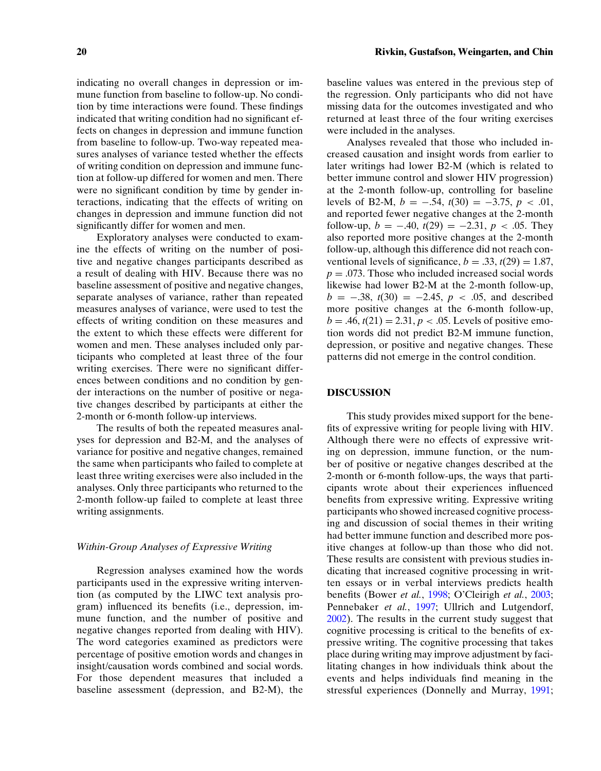## **20 Rivkin, Gustafson, Weingarten, and Chin**

indicating no overall changes in depression or immune function from baseline to follow-up. No condition by time interactions were found. These findings indicated that writing condition had no significant effects on changes in depression and immune function from baseline to follow-up. Two-way repeated measures analyses of variance tested whether the effects of writing condition on depression and immune function at follow-up differed for women and men. There were no significant condition by time by gender interactions, indicating that the effects of writing on changes in depression and immune function did not significantly differ for women and men.

Exploratory analyses were conducted to examine the effects of writing on the number of positive and negative changes participants described as a result of dealing with HIV. Because there was no baseline assessment of positive and negative changes, separate analyses of variance, rather than repeated measures analyses of variance, were used to test the effects of writing condition on these measures and the extent to which these effects were different for women and men. These analyses included only participants who completed at least three of the four writing exercises. There were no significant differences between conditions and no condition by gender interactions on the number of positive or negative changes described by participants at either the 2-month or 6-month follow-up interviews.

The results of both the repeated measures analyses for depression and B2-M, and the analyses of variance for positive and negative changes, remained the same when participants who failed to complete at least three writing exercises were also included in the analyses. Only three participants who returned to the 2-month follow-up failed to complete at least three writing assignments.

## *Within-Group Analyses of Expressive Writing*

Regression analyses examined how the words participants used in the expressive writing intervention (as computed by the LIWC text analysis program) influenced its benefits (i.e., depression, immune function, and the number of positive and negative changes reported from dealing with HIV). The word categories examined as predictors were percentage of positive emotion words and changes in insight/causation words combined and social words. For those dependent measures that included a baseline assessment (depression, and B2-M), the baseline values was entered in the previous step of the regression. Only participants who did not have missing data for the outcomes investigated and who returned at least three of the four writing exercises were included in the analyses.

Analyses revealed that those who included increased causation and insight words from earlier to later writings had lower B2-M (which is related to better immune control and slower HIV progression) at the 2-month follow-up, controlling for baseline levels of B2-M,  $b = -.54$ ,  $t(30) = -3.75$ ,  $p < .01$ , and reported fewer negative changes at the 2-month follow-up,  $b = -.40$ ,  $t(29) = -2.31$ ,  $p < .05$ . They also reported more positive changes at the 2-month follow-up, although this difference did not reach conventional levels of significance,  $b = .33$ ,  $t(29) = 1.87$ ,  $p = 0.073$ . Those who included increased social words likewise had lower B2-M at the 2-month follow-up,  $b = -.38$ ,  $t(30) = -2.45$ ,  $p < .05$ , and described more positive changes at the 6-month follow-up,  $b = .46$ ,  $t(21) = 2.31$ ,  $p < .05$ . Levels of positive emotion words did not predict B2-M immune function, depression, or positive and negative changes. These patterns did not emerge in the control condition.

## **DISCUSSION**

This study provides mixed support for the benefits of expressive writing for people living with HIV. Although there were no effects of expressive writing on depression, immune function, or the number of positive or negative changes described at the 2-month or 6-month follow-ups, the ways that participants wrote about their experiences influenced benefits from expressive writing. Expressive writing participants who showed increased cognitive processing and discussion of social themes in their writing had better immune function and described more positive changes at follow-up than those who did not. These results are consistent with previous studies indicating that increased cognitive processing in written essays or in verbal interviews predicts health benefits (Bower *et al.*, [1998;](#page-12-11) O'Cleirigh *et al.*, [2003;](#page-13-12) Pennebaker *et al.*, [1997;](#page-13-11) Ullrich and Lutgendorf, [2002\)](#page-13-25). The results in the current study suggest that cognitive processing is critical to the benefits of expressive writing. The cognitive processing that takes place during writing may improve adjustment by facilitating changes in how individuals think about the events and helps individuals find meaning in the stressful experiences (Donnelly and Murray, [1991;](#page-12-22)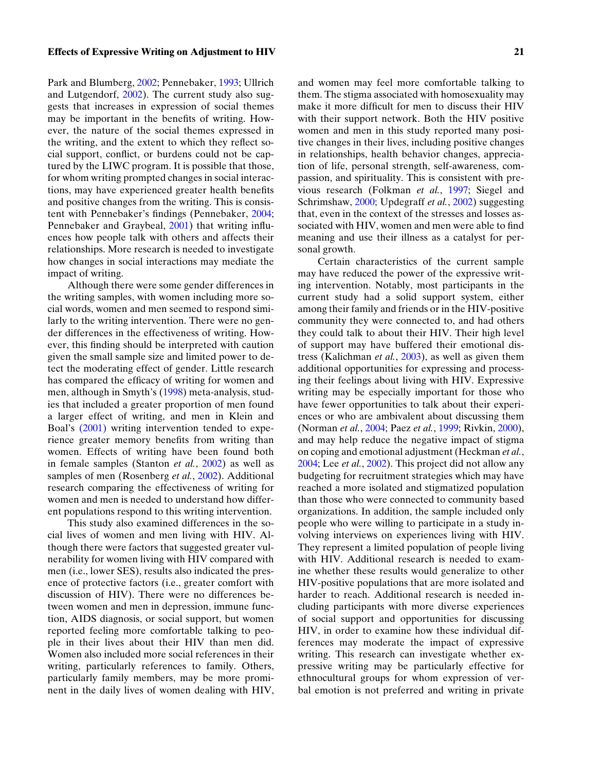Park and Blumberg, [2002;](#page-13-5) Pennebaker, [1993;](#page-13-6) Ullrich and Lutgendorf, [2002\)](#page-13-25). The current study also suggests that increases in expression of social themes may be important in the benefits of writing. However, the nature of the social themes expressed in the writing, and the extent to which they reflect social support, conflict, or burdens could not be captured by the LIWC program. It is possible that those, for whom writing prompted changes in social interactions, may have experienced greater health benefits and positive changes from the writing. This is consistent with Pennebaker's findings (Pennebaker, [2004;](#page-13-9) Pennebaker and Graybeal, [2001\)](#page-13-10) that writing influences how people talk with others and affects their relationships. More research is needed to investigate how changes in social interactions may mediate the impact of writing.

Although there were some gender differences in the writing samples, with women including more social words, women and men seemed to respond similarly to the writing intervention. There were no gender differences in the effectiveness of writing. However, this finding should be interpreted with caution given the small sample size and limited power to detect the moderating effect of gender. Little research has compared the efficacy of writing for women and men, although in Smyth's [\(1998\)](#page-13-8) meta-analysis, studies that included a greater proportion of men found a larger effect of writing, and men in Klein and Boal's [\(2001\)](#page-12-23) writing intervention tended to experience greater memory benefits from writing than women. Effects of writing have been found both in female samples (Stanton *et al.*, [2002\)](#page-13-15) as well as samples of men (Rosenberg *et al.*, [2002\)](#page-13-16). Additional research comparing the effectiveness of writing for women and men is needed to understand how different populations respond to this writing intervention.

This study also examined differences in the social lives of women and men living with HIV. Although there were factors that suggested greater vulnerability for women living with HIV compared with men (i.e., lower SES), results also indicated the presence of protective factors (i.e., greater comfort with discussion of HIV). There were no differences between women and men in depression, immune function, AIDS diagnosis, or social support, but women reported feeling more comfortable talking to people in their lives about their HIV than men did. Women also included more social references in their writing, particularly references to family. Others, particularly family members, may be more prominent in the daily lives of women dealing with HIV,

and women may feel more comfortable talking to them. The stigma associated with homosexuality may make it more difficult for men to discuss their HIV with their support network. Both the HIV positive women and men in this study reported many positive changes in their lives, including positive changes in relationships, health behavior changes, appreciation of life, personal strength, self-awareness, compassion, and spirituality. This is consistent with previous research (Folkman *et al.*, [1997;](#page-12-12) Siegel and Schrimshaw, [2000;](#page-13-2) Updegraff *et al.*, [2002\)](#page-13-3) suggesting that, even in the context of the stresses and losses associated with HIV, women and men were able to find meaning and use their illness as a catalyst for personal growth.

Certain characteristics of the current sample may have reduced the power of the expressive writing intervention. Notably, most participants in the current study had a solid support system, either among their family and friends or in the HIV-positive community they were connected to, and had others they could talk to about their HIV. Their high level of support may have buffered their emotional distress (Kalichman *et al.*, [2003\)](#page-12-23), as well as given them additional opportunities for expressing and processing their feelings about living with HIV. Expressive writing may be especially important for those who have fewer opportunities to talk about their experiences or who are ambivalent about discussing them (Norman *et al.*, [2004;](#page-12-15) Paez *et al.*, [1999;](#page-13-17) Rivkin, [2000\)](#page-13-18), and may help reduce the negative impact of stigma on coping and emotional adjustment(Heckman *et al.*, [2004;](#page-12-18) Lee *et al.*, [2002\)](#page-12-4). This project did not allow any budgeting for recruitment strategies which may have reached a more isolated and stigmatized population than those who were connected to community based organizations. In addition, the sample included only people who were willing to participate in a study involving interviews on experiences living with HIV. They represent a limited population of people living with HIV. Additional research is needed to examine whether these results would generalize to other HIV-positive populations that are more isolated and harder to reach. Additional research is needed including participants with more diverse experiences of social support and opportunities for discussing HIV, in order to examine how these individual differences may moderate the impact of expressive writing. This research can investigate whether expressive writing may be particularly effective for ethnocultural groups for whom expression of verbal emotion is not preferred and writing in private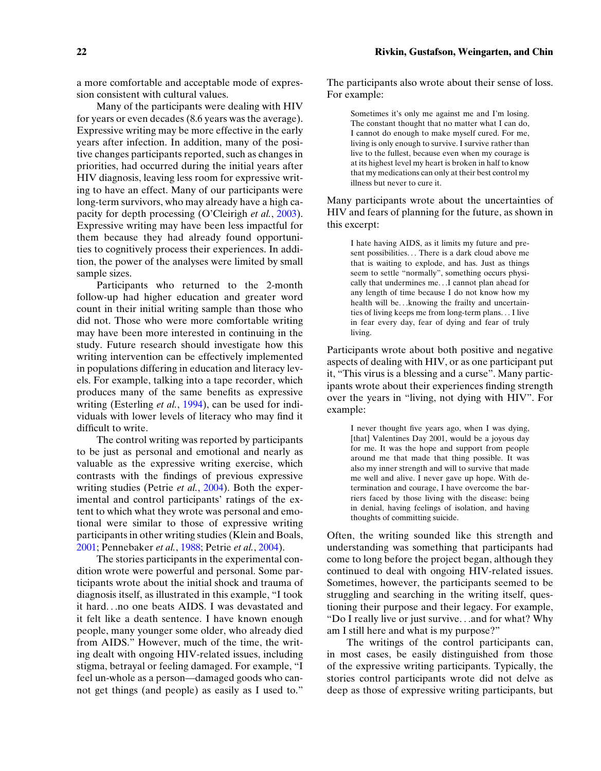a more comfortable and acceptable mode of expression consistent with cultural values.

Many of the participants were dealing with HIV for years or even decades (8.6 years was the average). Expressive writing may be more effective in the early years after infection. In addition, many of the positive changes participants reported, such as changes in priorities, had occurred during the initial years after HIV diagnosis, leaving less room for expressive writing to have an effect. Many of our participants were long-term survivors, who may already have a high capacity for depth processing (O'Cleirigh *et al.*, [2003\)](#page-13-12). Expressive writing may have been less impactful for them because they had already found opportunities to cognitively process their experiences. In addition, the power of the analyses were limited by small sample sizes.

Participants who returned to the 2-month follow-up had higher education and greater word count in their initial writing sample than those who did not. Those who were more comfortable writing may have been more interested in continuing in the study. Future research should investigate how this writing intervention can be effectively implemented in populations differing in education and literacy levels. For example, talking into a tape recorder, which produces many of the same benefits as expressive writing (Esterling *et al.*, [1994\)](#page-12-24), can be used for individuals with lower levels of literacy who may find it difficult to write.

The control writing was reported by participants to be just as personal and emotional and nearly as valuable as the expressive writing exercise, which contrasts with the findings of previous expressive writing studies (Petrie *et al.*, [2004\)](#page-13-13). Both the experimental and control participants' ratings of the extent to which what they wrote was personal and emotional were similar to those of expressive writing participants in other writing studies (Klein and Boals, [2001;](#page-12-25) Pennebaker *et al.*, [1988;](#page-13-7) Petrie *et al.*, [2004\)](#page-13-13).

The stories participants in the experimental condition wrote were powerful and personal. Some participants wrote about the initial shock and trauma of diagnosis itself, as illustrated in this example, "I took it hard. . .no one beats AIDS. I was devastated and it felt like a death sentence. I have known enough people, many younger some older, who already died from AIDS." However, much of the time, the writing dealt with ongoing HIV-related issues, including stigma, betrayal or feeling damaged. For example, "I feel un-whole as a person—damaged goods who cannot get things (and people) as easily as I used to."

The participants also wrote about their sense of loss. For example:

> Sometimes it's only me against me and I'm losing. The constant thought that no matter what I can do, I cannot do enough to make myself cured. For me, living is only enough to survive. I survive rather than live to the fullest, because even when my courage is at its highest level my heart is broken in half to know that my medications can only at their best control my illness but never to cure it.

Many participants wrote about the uncertainties of HIV and fears of planning for the future, as shown in this excerpt:

> I hate having AIDS, as it limits my future and present possibilities. . . There is a dark cloud above me that is waiting to explode, and has. Just as things seem to settle "normally", something occurs physically that undermines me. . .I cannot plan ahead for any length of time because I do not know how my health will be. . .knowing the frailty and uncertainties of living keeps me from long-term plans. . . I live in fear every day, fear of dying and fear of truly living.

Participants wrote about both positive and negative aspects of dealing with HIV, or as one participant put it, "This virus is a blessing and a curse". Many participants wrote about their experiences finding strength over the years in "living, not dying with HIV". For example:

> I never thought five years ago, when I was dying, [that] Valentines Day 2001, would be a joyous day for me. It was the hope and support from people around me that made that thing possible. It was also my inner strength and will to survive that made me well and alive. I never gave up hope. With determination and courage, I have overcome the barriers faced by those living with the disease: being in denial, having feelings of isolation, and having thoughts of committing suicide.

Often, the writing sounded like this strength and understanding was something that participants had come to long before the project began, although they continued to deal with ongoing HIV-related issues. Sometimes, however, the participants seemed to be struggling and searching in the writing itself, questioning their purpose and their legacy. For example, "Do I really live or just survive. . .and for what? Why am I still here and what is my purpose?"

The writings of the control participants can, in most cases, be easily distinguished from those of the expressive writing participants. Typically, the stories control participants wrote did not delve as deep as those of expressive writing participants, but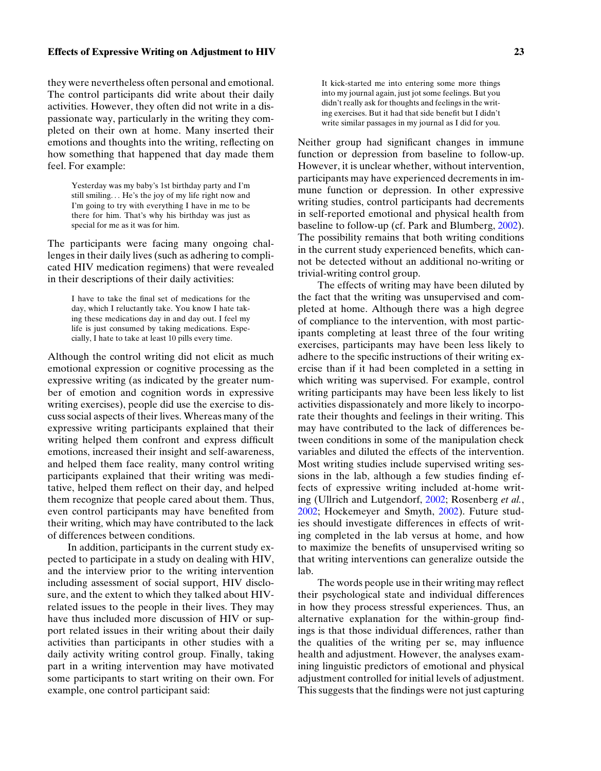#### **Effects of Expressive Writing on Adjustment to HIV 23**

they were nevertheless often personal and emotional. The control participants did write about their daily activities. However, they often did not write in a dispassionate way, particularly in the writing they completed on their own at home. Many inserted their emotions and thoughts into the writing, reflecting on how something that happened that day made them feel. For example:

> Yesterday was my baby's 1st birthday party and I'm still smiling. . . He's the joy of my life right now and I'm going to try with everything I have in me to be there for him. That's why his birthday was just as special for me as it was for him.

The participants were facing many ongoing challenges in their daily lives (such as adhering to complicated HIV medication regimens) that were revealed in their descriptions of their daily activities:

> I have to take the final set of medications for the day, which I reluctantly take. You know I hate taking these medications day in and day out. I feel my life is just consumed by taking medications. Especially, I hate to take at least 10 pills every time.

Although the control writing did not elicit as much emotional expression or cognitive processing as the expressive writing (as indicated by the greater number of emotion and cognition words in expressive writing exercises), people did use the exercise to discuss social aspects of their lives. Whereas many of the expressive writing participants explained that their writing helped them confront and express difficult emotions, increased their insight and self-awareness, and helped them face reality, many control writing participants explained that their writing was meditative, helped them reflect on their day, and helped them recognize that people cared about them. Thus, even control participants may have benefited from their writing, which may have contributed to the lack of differences between conditions.

In addition, participants in the current study expected to participate in a study on dealing with HIV, and the interview prior to the writing intervention including assessment of social support, HIV disclosure, and the extent to which they talked about HIVrelated issues to the people in their lives. They may have thus included more discussion of HIV or support related issues in their writing about their daily activities than participants in other studies with a daily activity writing control group. Finally, taking part in a writing intervention may have motivated some participants to start writing on their own. For example, one control participant said:

It kick-started me into entering some more things into my journal again, just jot some feelings. But you didn't really ask for thoughts and feelings in the writing exercises. But it had that side benefit but I didn't write similar passages in my journal as I did for you.

Neither group had significant changes in immune function or depression from baseline to follow-up. However, it is unclear whether, without intervention, participants may have experienced decrements in immune function or depression. In other expressive writing studies, control participants had decrements in self-reported emotional and physical health from baseline to follow-up (cf. Park and Blumberg, [2002\)](#page-13-5). The possibility remains that both writing conditions in the current study experienced benefits, which cannot be detected without an additional no-writing or trivial-writing control group.

The effects of writing may have been diluted by the fact that the writing was unsupervised and completed at home. Although there was a high degree of compliance to the intervention, with most participants completing at least three of the four writing exercises, participants may have been less likely to adhere to the specific instructions of their writing exercise than if it had been completed in a setting in which writing was supervised. For example, control writing participants may have been less likely to list activities dispassionately and more likely to incorporate their thoughts and feelings in their writing. This may have contributed to the lack of differences between conditions in some of the manipulation check variables and diluted the effects of the intervention. Most writing studies include supervised writing sessions in the lab, although a few studies finding effects of expressive writing included at-home writing (Ullrich and Lutgendorf, [2002;](#page-13-25) Rosenberg *et al.*, [2002;](#page-13-16) Hockemeyer and Smyth, [2002\)](#page-12-26). Future studies should investigate differences in effects of writing completed in the lab versus at home, and how to maximize the benefits of unsupervised writing so that writing interventions can generalize outside the lab.

The words people use in their writing may reflect their psychological state and individual differences in how they process stressful experiences. Thus, an alternative explanation for the within-group findings is that those individual differences, rather than the qualities of the writing per se, may influence health and adjustment. However, the analyses examining linguistic predictors of emotional and physical adjustment controlled for initial levels of adjustment. This suggests that the findings were not just capturing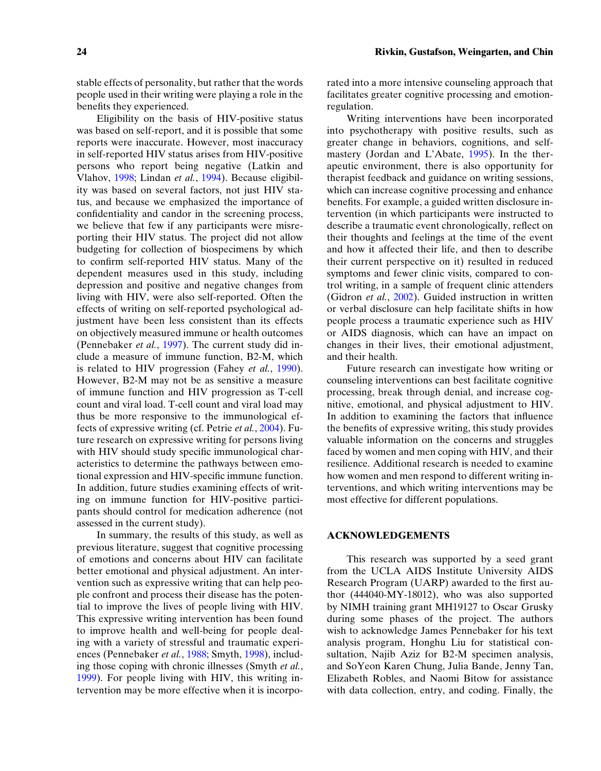## **24 Rivkin, Gustafson, Weingarten, and Chin**

stable effects of personality, but rather that the words people used in their writing were playing a role in the benefits they experienced.

Eligibility on the basis of HIV-positive status was based on self-report, and it is possible that some reports were inaccurate. However, most inaccuracy in self-reported HIV status arises from HIV-positive persons who report being negative (Latkin and Vlahov, [1998;](#page-12-27) Lindan *et al.*, [1994\)](#page-12-28). Because eligibility was based on several factors, not just HIV status, and because we emphasized the importance of confidentiality and candor in the screening process, we believe that few if any participants were misreporting their HIV status. The project did not allow budgeting for collection of biospecimens by which to confirm self-reported HIV status. Many of the dependent measures used in this study, including depression and positive and negative changes from living with HIV, were also self-reported. Often the effects of writing on self-reported psychological adjustment have been less consistent than its effects on objectively measured immune or health outcomes (Pennebaker *et al.*, [1997\)](#page-13-11). The current study did include a measure of immune function, B2-M, which is related to HIV progression (Fahey *et al.*, [1990\)](#page-12-19). However, B2-M may not be as sensitive a measure of immune function and HIV progression as T-cell count and viral load. T-cell count and viral load may thus be more responsive to the immunological effects of expressive writing (cf. Petrie *et al.*, [2004\)](#page-13-13). Future research on expressive writing for persons living with HIV should study specific immunological characteristics to determine the pathways between emotional expression and HIV-specific immune function. In addition, future studies examining effects of writing on immune function for HIV-positive participants should control for medication adherence (not assessed in the current study).

In summary, the results of this study, as well as previous literature, suggest that cognitive processing of emotions and concerns about HIV can facilitate better emotional and physical adjustment. An intervention such as expressive writing that can help people confront and process their disease has the potential to improve the lives of people living with HIV. This expressive writing intervention has been found to improve health and well-being for people dealing with a variety of stressful and traumatic experiences (Pennebaker *et al.*, [1988;](#page-13-7) Smyth, [1998\)](#page-13-8), including those coping with chronic illnesses (Smyth *et al.*, [1999\)](#page-13-14). For people living with HIV, this writing intervention may be more effective when it is incorporated into a more intensive counseling approach that facilitates greater cognitive processing and emotionregulation.

Writing interventions have been incorporated into psychotherapy with positive results, such as greater change in behaviors, cognitions, and selfmastery (Jordan and L'Abate, [1995\)](#page-12-29). In the therapeutic environment, there is also opportunity for therapist feedback and guidance on writing sessions, which can increase cognitive processing and enhance benefits. For example, a guided written disclosure intervention (in which participants were instructed to describe a traumatic event chronologically, reflect on their thoughts and feelings at the time of the event and how it affected their life, and then to describe their current perspective on it) resulted in reduced symptoms and fewer clinic visits, compared to control writing, in a sample of frequent clinic attenders (Gidron *et al.*, [2002\)](#page-12-30). Guided instruction in written or verbal disclosure can help facilitate shifts in how people process a traumatic experience such as HIV or AIDS diagnosis, which can have an impact on changes in their lives, their emotional adjustment, and their health.

Future research can investigate how writing or counseling interventions can best facilitate cognitive processing, break through denial, and increase cognitive, emotional, and physical adjustment to HIV. In addition to examining the factors that influence the benefits of expressive writing, this study provides valuable information on the concerns and struggles faced by women and men coping with HIV, and their resilience. Additional research is needed to examine how women and men respond to different writing interventions, and which writing interventions may be most effective for different populations.

## **ACKNOWLEDGEMENTS**

This research was supported by a seed grant from the UCLA AIDS Institute University AIDS Research Program (UARP) awarded to the first author (444040-MY-18012), who was also supported by NIMH training grant MH19127 to Oscar Grusky during some phases of the project. The authors wish to acknowledge James Pennebaker for his text analysis program, Honghu Liu for statistical consultation, Najib Aziz for B2-M specimen analysis, and SoYeon Karen Chung, Julia Bande, Jenny Tan, Elizabeth Robles, and Naomi Bitow for assistance with data collection, entry, and coding. Finally, the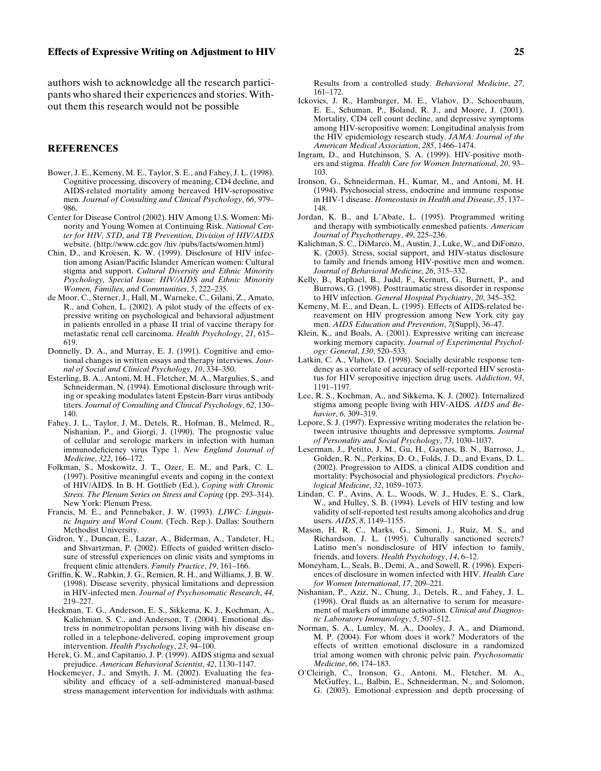authors wish to acknowledge all the research participants who shared their experiences and stories. Without them this research would not be possible

## **REFERENCES**

- Bower, J. E., Kemeny, M. E., Taylor, S. E., and Fahey, J. L. (1998). Cognitive processing, discovery of meaning, CD4 decline, and AIDS-related mortality among bereaved HIV-seropositive men. *Journal of Consulting and Clinical Psychology*, *66*, 979– 986.
- <span id="page-12-11"></span>Center for Disease Control (2002). HIV Among U.S. Women: Minority and Young Women at Continuing Risk. *National Center for HIV, STD, and TB Prevention, Division of HIV/AIDS* website. (http://www.cdc.gov /hiv /pubs/facts/women.html)
- Chin, D., and Kroesen, K. W. (1999). Disclosure of HIV infection among Asian/Pacific Islander American women: Cultural stigma and support. *Cultural Diversity and Ethnic Minority Psychology, Special Issue: HIV/AIDS and Ethnic Minority Women, Families, and Communities*, *5*, 222–235.
- <span id="page-12-16"></span>de Moor, C., Sterner, J., Hall, M., Warneke, C., Gilani, Z., Amato, R., and Cohen, L. (2002). A pilot study of the effects of expressive writing on psychological and behavioral adjustment in patients enrolled in a phase II trial of vaccine therapy for metastatic renal cell carcinoma. *Health Psychology*, *21*, 615– 619.
- <span id="page-12-14"></span>Donnelly, D. A., and Murray, E. J. (1991). Cognitive and emotional changes in written essays and therapy interviews. *Journal of Social and Clinical Psychology*, *10*, 334–350.
- <span id="page-12-22"></span>Esterling, B. A., Antoni, M. H., Fletcher, M. A., Margulies, S., and Schneiderman, N. (1994). Emotional disclosure through writing or speaking modulates latent Epstein-Barr virus antibody titers. *Journal of Consulting and Clinical Psychology*, *62*, 130– 140.
- <span id="page-12-24"></span>Fahey, J. L., Taylor, J. M., Detels, R., Hofman, B., Melmed, R., Nishanian, P., and Giorgi, J. (1990). The prognostic value of cellular and serologic markers in infection with human immunodeficiency virus Type 1. *New England Journal of Medicine*, *322*, 166–172.
- <span id="page-12-19"></span>Folkman, S., Moskowitz, J. T., Ozer, E. M., and Park, C. L. (1997). Positive meaningful events and coping in the context of HIV/AIDS. In B. H. Gottlieb (Ed.), *Coping with Chronic Stress. The Plenum Series on Stress and Coping* (pp. 293–314). New York: Plenum Press.
- <span id="page-12-12"></span>Francis, M. E., and Pennebaker, J. W. (1993). *LIWC: Linguistic Inquiry and Word Count*. (Tech. Rep.). Dallas: Southern Methodist University.
- <span id="page-12-21"></span>Gidron, Y., Duncan, E., Lazar, A., Biderman, A., Tandeter, H., and Shvartzman, P. (2002). Effects of guided written disclosure of stressful experiences on clinic visits and symptoms in frequent clinic attenders. *Family Practice*, *19*, 161–166.
- Griffin, K. W., Rabkin, J. G., Remien, R. H., and Williams, J. B. W. (1998). Disease severity, physical limitations and depression in HIV-infected men. *Journal of Psychosomatic Research*, *44*, 219–227.
- <span id="page-12-2"></span>Heckman, T. G., Anderson, E. S., Sikkema, K. J., Kochman, A., Kalichman, S. C., and Anderson, T. (2004). Emotional distress in nonmetropolitan persons living with hiv disease enrolled in a telephone-delivered, coping improvement group intervention. *Health Psychology*, *23*, 94–100.
- <span id="page-12-18"></span>Herek, G. M., and Capitanio, J. P. (1999). AIDS stigma and sexual prejudice. *American Behavioral Scientist*, *42*, 1130–1147.
- Hockemeyer, J., and Smyth, J. M. (2002). Evaluating the feasibility and efficacy of a self-administered manual-based stress management intervention for individuals with asthma:

Results from a controlled study. *Behavioral Medicine*, *27*, 161–172.

- <span id="page-12-26"></span>Ickovics, J. R., Hamburger, M. E., Vlahov, D., Schoenbaum, E. E., Schuman, P., Boland, R. J., and Moore, J. (2001). Mortality, CD4 cell count decline, and depressive symptoms among HIV-seropositive women: Longitudinal analysis from the HIV epidemiology research study. *JAMA: Journal of the American Medical Association*, *285*, 1466–1474.
- <span id="page-12-8"></span>Ingram, D., and Hutchinson, S. A. (1999). HIV-positive mothers and stigma. *Health Care for Women International*, *20*, 93– 103.
- <span id="page-12-10"></span>Ironson, G., Schneiderman, H., Kumar, M., and Antoni, M. H. (1994). Psychosocial stress, endocrine and immune response in HIV-1 disease. *Homeostasis in Health and Disease*, *35*, 137– 148.
- <span id="page-12-6"></span>Jordan, K. B., and L'Abate, L. (1995). Programmed writing and therapy with symbiotically enmeshed patients. *American Journal of Psychotherapy*, *49*, 225–236.
- <span id="page-12-29"></span><span id="page-12-9"></span>Kalichman, S. C., DiMarco, M., Austin, J., Luke, W., and DiFonzo, K. (2003). Stress, social support, and HIV-status disclosure to family and friends among HIV-positive men and women. *Journal of Behavioral Medicine*, *26*, 315–332.
- <span id="page-12-23"></span>Kelly, B., Raphael, B., Judd, F., Kernutt, G., Burnett, P., and Burrows, G. (1998). Posttraumatic stress disorder in response to HIV infection. *General Hospital Psychiatry*, *20*, 345–352.
- <span id="page-12-0"></span>Kemeny, M. E., and Dean, L. (1995). Effects of AIDS-related bereavement on HIV progression among New York city gay men. *AIDS Education and Prevention*, *7*(Suppl), 36–47.
- <span id="page-12-1"></span>Klein, K., and Boals, A. (2001). Expressive writing can increase working memory capacity. *Journal of Experimental Psychology: General*, *130*, 520–533.
- <span id="page-12-25"></span>Latkin, C. A., Vlahov, D. (1998). Socially desirable response tendency as a correlate of accuracy of self-reported HIV serostatus for HIV seropositive injection drug users. *Addiction*, *93*, 1191–1197.
- <span id="page-12-27"></span>Lee, R. S., Kochman, A., and Sikkema, K. J. (2002). Internalized stigma among people living with HIV-AIDS. *AIDS and Behavior*, *6*, 309–319.
- <span id="page-12-4"></span>Lepore, S. J. (1997). Expressive writing moderates the relation between intrusive thoughts and depressive symptoms. *Journal of Personality and Social Psychology*, *73*, 1030–1037.
- <span id="page-12-13"></span>Leserman, J., Petitto, J. M., Gu, H., Gaynes, B. N., Barroso, J., Golden, R. N., Perkins, D. O., Folds, J. D., and Evans, D. L. (2002). Progression to AIDS, a clinical AIDS condition and mortality: Psychosocial and physiological predictors. *Psychological Medicine*, *32*, 1059–1073.
- <span id="page-12-7"></span>Lindan, C. P., Avins, A. L., Woods, W. J., Hudes, E. S., Clark, W., and Hulley, S. B. (1994). Levels of HIV testing and low validity of self-reported test results among alcoholics and drug users. *AIDS*, *8*, 1149–1155.
- <span id="page-12-28"></span>Mason, H. R. C., Marks, G., Simoni, J., Ruiz, M. S., and Richardson, J. L. (1995). Culturally sanctioned secrets? Latino men's nondisclosure of HIV infection to family, friends, and lovers. *Health Psychology*, *14*, 6–12.
- <span id="page-12-30"></span><span id="page-12-17"></span>Moneyham, L., Seals, B., Demi, A., and Sowell, R. (1996). Experiences of disclosure in women infected with HIV. *Health Care for Women International*, *17*, 209–221.
- <span id="page-12-5"></span>Nishanian, P., Aziz, N., Chung, J., Detels, R., and Fahey, J. L. (1998). Oral fluids as an alternative to serum for measurement of markers of immune activation. *Clinical and Diagnostic Laboratory Immunology*, *5*, 507–512.
- <span id="page-12-20"></span>Norman, S. A., Lumley, M. A., Dooley, J. A., and Diamond, M. P. (2004). For whom does it work? Moderators of the effects of written emotional disclosure in a randomized trial among women with chronic pelvic pain. *Psychosomatic Medicine*, *66*, 174–183.
- <span id="page-12-15"></span><span id="page-12-3"></span>O'Cleirigh, C., Ironson, G., Antoni, M., Fletcher, M. A., McGuffey, L., Balbin, E., Schneiderman, N., and Solomon, G. (2003). Emotional expression and depth processing of